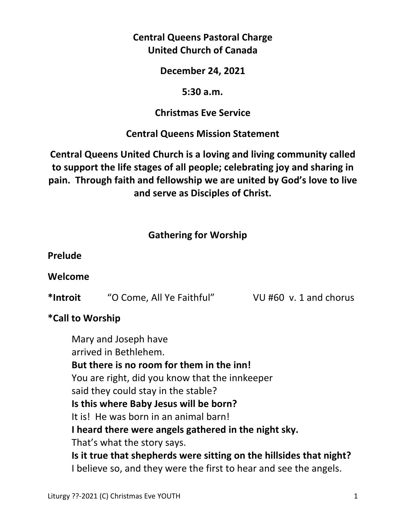# **Central Queens Pastoral Charge United Church of Canada**

**December 24, 2021** 

#### **5:30 a.m.**

#### **Christmas Eve Service**

## **Central Queens Mission Statement**

# **Central Queens United Church is a loving and living community called to support the life stages of all people; celebrating joy and sharing in pain. Through faith and fellowship we are united by God's love to live and serve as Disciples of Christ.**

## **Gathering for Worship**

#### **Prelude**

## **Welcome**

**\*Introit** "O Come, All Ye Faithful" VU #60 v. 1 and chorus

## **\*Call to Worship**

 Mary and Joseph have arrived in Bethlehem.  **But there is no room for them in the inn!**  You are right, did you know that the innkeeper said they could stay in the stable?  **Is this where Baby Jesus will be born?**  It is! He was born in an animal barn!  **I heard there were angels gathered in the night sky.**  That's what the story says.  **Is it true that shepherds were sitting on the hillsides that night?**  I believe so, and they were the first to hear and see the angels.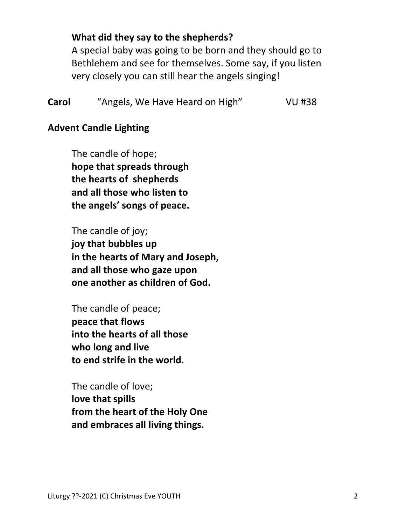#### **What did they say to the shepherds?**

 A special baby was going to be born and they should go to Bethlehem and see for themselves. Some say, if you listen very closely you can still hear the angels singing!

| Carol | "Angels, We Have Heard on High" | <b>VU #38</b> |
|-------|---------------------------------|---------------|
|-------|---------------------------------|---------------|

#### **Advent Candle Lighting**

 The candle of hope;  **hope that spreads through the hearts of shepherds and all those who listen to the angels' songs of peace.** 

 The candle of joy;  **joy that bubbles up in the hearts of Mary and Joseph, and all those who gaze upon one another as children of God.** 

 The candle of peace;  **peace that flows into the hearts of all those who long and live to end strife in the world.** 

 The candle of love;  **love that spills from the heart of the Holy One and embraces all living things.**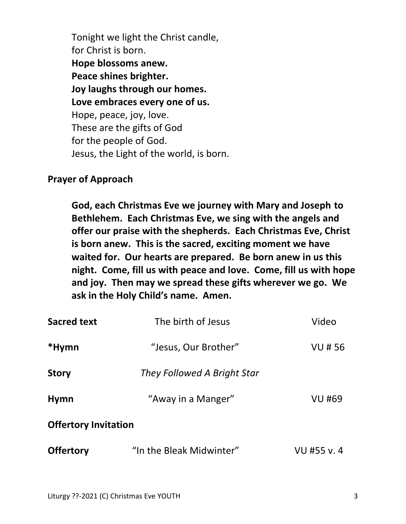Tonight we light the Christ candle, for Christ is born.  **Hope blossoms anew. Peace shines brighter. Joy laughs through our homes. Love embraces every one of us.**  Hope, peace, joy, love. These are the gifts of God for the people of God. Jesus, the Light of the world, is born.

#### **Prayer of Approach**

 **God, each Christmas Eve we journey with Mary and Joseph to Bethlehem. Each Christmas Eve, we sing with the angels and offer our praise with the shepherds. Each Christmas Eve, Christ is born anew. This is the sacred, exciting moment we have waited for. Our hearts are prepared. Be born anew in us this night. Come, fill us with peace and love. Come, fill us with hope and joy. Then may we spread these gifts wherever we go. We ask in the Holy Child's name. Amen.** 

| <b>Sacred text</b>          | The birth of Jesus          | Video         |
|-----------------------------|-----------------------------|---------------|
| *Hymn                       | "Jesus, Our Brother"        | <b>VU#56</b>  |
| <b>Story</b>                | They Followed A Bright Star |               |
| <b>Hymn</b>                 | "Away in a Manger"          | <b>VU #69</b> |
| <b>Offertory Invitation</b> |                             |               |
| <b>Offertory</b>            | "In the Bleak Midwinter"    | VU #55 v.4    |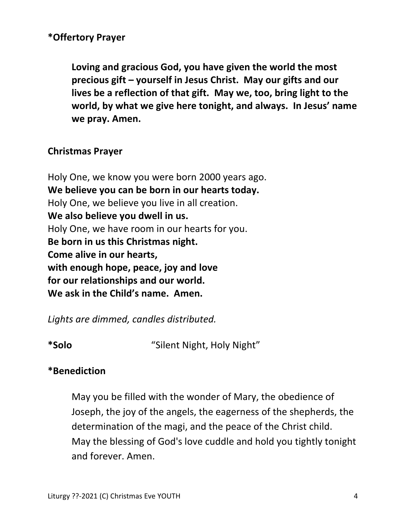#### **\*Offertory Prayer**

**Loving and gracious God, you have given the world the most precious gift – yourself in Jesus Christ. May our gifts and our lives be a reflection of that gift. May we, too, bring light to the world, by what we give here tonight, and always. In Jesus' name we pray. Amen.** 

#### **Christmas Prayer**

Holy One, we know you were born 2000 years ago. **We believe you can be born in our hearts today.** Holy One, we believe you live in all creation. **We also believe you dwell in us.**  Holy One, we have room in our hearts for you. **Be born in us this Christmas night. Come alive in our hearts, with enough hope, peace, joy and love for our relationships and our world. We ask in the Child's name. Amen.** 

*Lights are dimmed, candles distributed.*

**\*Solo** "Silent Night, Holy Night"

## **\*Benediction**

 May you be filled with the wonder of Mary, the obedience of Joseph, the joy of the angels, the eagerness of the shepherds, the determination of the magi, and the peace of the Christ child. May the blessing of God's love cuddle and hold you tightly tonight and forever. Amen.